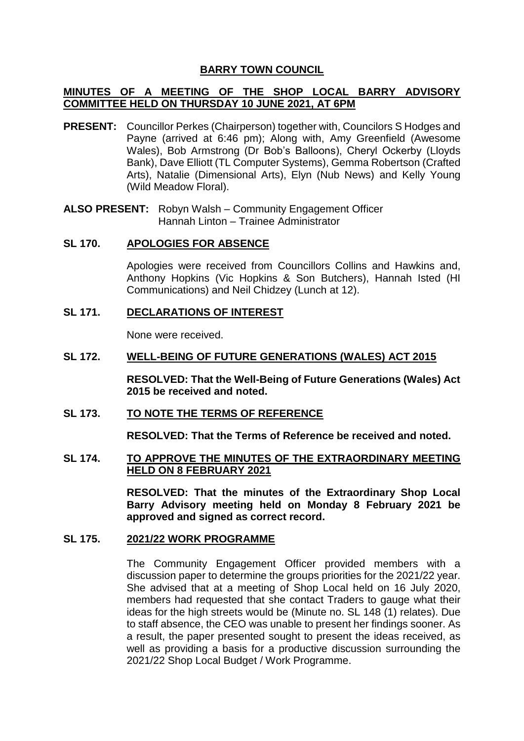# **BARRY TOWN COUNCIL**

# **MINUTES OF A MEETING OF THE SHOP LOCAL BARRY ADVISORY COMMITTEE HELD ON THURSDAY 10 JUNE 2021, AT 6PM**

**PRESENT:** Councillor Perkes (Chairperson) together with, Councilors S Hodges and Payne (arrived at 6:46 pm); Along with, Amy Greenfield (Awesome Wales), Bob Armstrong (Dr Bob's Balloons), Cheryl Ockerby (Lloyds Bank), Dave Elliott (TL Computer Systems), Gemma Robertson (Crafted Arts), Natalie (Dimensional Arts), Elyn (Nub News) and Kelly Young (Wild Meadow Floral).

**ALSO PRESENT:** Robyn Walsh – Community Engagement Officer Hannah Linton – Trainee Administrator

## **SL 170. APOLOGIES FOR ABSENCE**

Apologies were received from Councillors Collins and Hawkins and, Anthony Hopkins (Vic Hopkins & Son Butchers), Hannah Isted (HI Communications) and Neil Chidzey (Lunch at 12).

# **SL 171. DECLARATIONS OF INTEREST**

None were received.

## **SL 172. WELL-BEING OF FUTURE GENERATIONS (WALES) ACT 2015**

**RESOLVED: That the Well-Being of Future Generations (Wales) Act 2015 be received and noted.**

## **SL 173. TO NOTE THE TERMS OF REFERENCE**

**RESOLVED: That the Terms of Reference be received and noted.**

## **SL 174. TO APPROVE THE MINUTES OF THE EXTRAORDINARY MEETING HELD ON 8 FEBRUARY 2021**

**RESOLVED: That the minutes of the Extraordinary Shop Local Barry Advisory meeting held on Monday 8 February 2021 be approved and signed as correct record.** 

## **SL 175. 2021/22 WORK PROGRAMME**

The Community Engagement Officer provided members with a discussion paper to determine the groups priorities for the 2021/22 year. She advised that at a meeting of Shop Local held on 16 July 2020, members had requested that she contact Traders to gauge what their ideas for the high streets would be (Minute no. SL 148 (1) relates). Due to staff absence, the CEO was unable to present her findings sooner. As a result, the paper presented sought to present the ideas received, as well as providing a basis for a productive discussion surrounding the 2021/22 Shop Local Budget / Work Programme.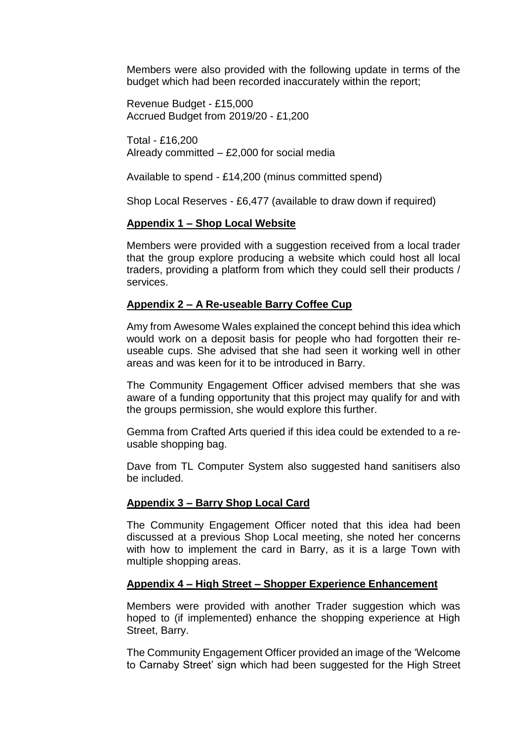Members were also provided with the following update in terms of the budget which had been recorded inaccurately within the report;

Revenue Budget - £15,000 Accrued Budget from 2019/20 - £1,200

Total - £16,200 Already committed – £2,000 for social media

Available to spend - £14,200 (minus committed spend)

Shop Local Reserves - £6,477 (available to draw down if required)

# **Appendix 1 – Shop Local Website**

Members were provided with a suggestion received from a local trader that the group explore producing a website which could host all local traders, providing a platform from which they could sell their products / services.

# **Appendix 2 – A Re-useable Barry Coffee Cup**

Amy from Awesome Wales explained the concept behind this idea which would work on a deposit basis for people who had forgotten their reuseable cups. She advised that she had seen it working well in other areas and was keen for it to be introduced in Barry.

The Community Engagement Officer advised members that she was aware of a funding opportunity that this project may qualify for and with the groups permission, she would explore this further.

Gemma from Crafted Arts queried if this idea could be extended to a reusable shopping bag.

Dave from TL Computer System also suggested hand sanitisers also be included.

# **Appendix 3 – Barry Shop Local Card**

The Community Engagement Officer noted that this idea had been discussed at a previous Shop Local meeting, she noted her concerns with how to implement the card in Barry, as it is a large Town with multiple shopping areas.

# **Appendix 4 – High Street – Shopper Experience Enhancement**

Members were provided with another Trader suggestion which was hoped to (if implemented) enhance the shopping experience at High Street, Barry.

The Community Engagement Officer provided an image of the 'Welcome to Carnaby Street' sign which had been suggested for the High Street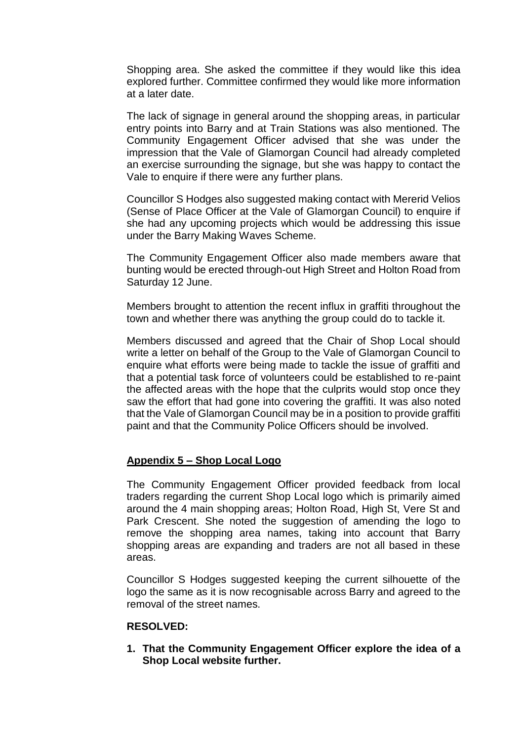Shopping area. She asked the committee if they would like this idea explored further. Committee confirmed they would like more information at a later date.

The lack of signage in general around the shopping areas, in particular entry points into Barry and at Train Stations was also mentioned. The Community Engagement Officer advised that she was under the impression that the Vale of Glamorgan Council had already completed an exercise surrounding the signage, but she was happy to contact the Vale to enquire if there were any further plans.

Councillor S Hodges also suggested making contact with Mererid Velios (Sense of Place Officer at the Vale of Glamorgan Council) to enquire if she had any upcoming projects which would be addressing this issue under the Barry Making Waves Scheme.

The Community Engagement Officer also made members aware that bunting would be erected through-out High Street and Holton Road from Saturday 12 June.

Members brought to attention the recent influx in graffiti throughout the town and whether there was anything the group could do to tackle it.

Members discussed and agreed that the Chair of Shop Local should write a letter on behalf of the Group to the Vale of Glamorgan Council to enquire what efforts were being made to tackle the issue of graffiti and that a potential task force of volunteers could be established to re-paint the affected areas with the hope that the culprits would stop once they saw the effort that had gone into covering the graffiti. It was also noted that the Vale of Glamorgan Council may be in a position to provide graffiti paint and that the Community Police Officers should be involved.

# **Appendix 5 – Shop Local Logo**

The Community Engagement Officer provided feedback from local traders regarding the current Shop Local logo which is primarily aimed around the 4 main shopping areas; Holton Road, High St, Vere St and Park Crescent. She noted the suggestion of amending the logo to remove the shopping area names, taking into account that Barry shopping areas are expanding and traders are not all based in these areas.

Councillor S Hodges suggested keeping the current silhouette of the logo the same as it is now recognisable across Barry and agreed to the removal of the street names.

#### **RESOLVED:**

**1. That the Community Engagement Officer explore the idea of a Shop Local website further.**